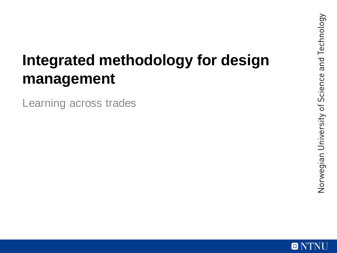## **Integrated methodology for design management**

Learning across trades

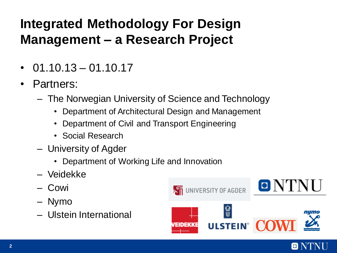### **Integrated Methodology For Design Management – a Research Project**

- $\cdot$  01.10.13 01.10.17
- Partners:
	- The Norwegian University of Science and Technology
		- Department of Architectural Design and Management
		- Department of Civil and Transport Engineering
		- Social Research
	- University of Agder
		- Department of Working Life and Innovation
	- Veidekke
	- Cowi
	- Nymo
	- Ulstein International



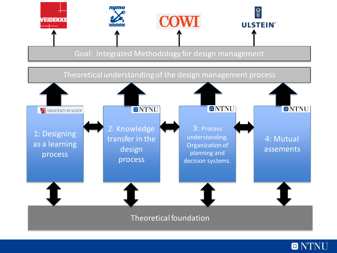

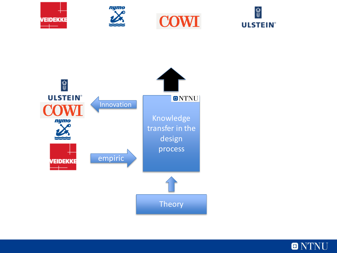









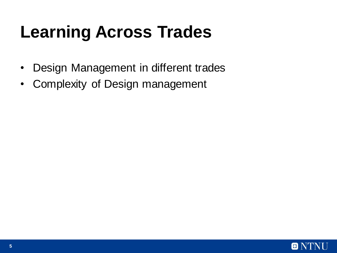# **Learning Across Trades**

- Design Management in different trades
- Complexity of Design management

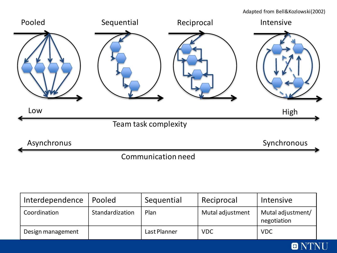Adapted from Bell&Kozlowski(2002)



| Interdependence   | Pooled          | Sequential   | Reciprocal       | Intensive                        |
|-------------------|-----------------|--------------|------------------|----------------------------------|
| Coordination      | Standardization | Plan         | Mutal adjustment | Mutal adjustment/<br>negotiation |
| Design management |                 | Last Planner | <b>VDC</b>       | <b>VDC</b>                       |

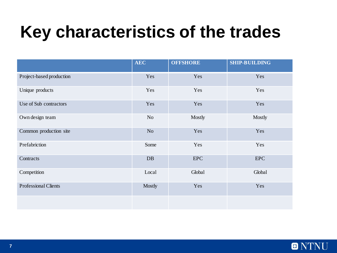## **Key characteristics of the trades**

|                             | <b>AEC</b>     | <b>OFFSHORE</b> | <b>SHIP-BUILDING</b> |
|-----------------------------|----------------|-----------------|----------------------|
| Project-based production    | Yes            | Yes             | Yes                  |
| Unique products             | Yes            | Yes             | Yes                  |
| Use of Sub contractors      | Yes            | Yes             | Yes                  |
| Own design team             | No             | Mostly          | Mostly               |
| Common production site      | N <sub>o</sub> | Yes             | Yes                  |
| Prefabriction               | Some           | Yes             | Yes                  |
| Contracts                   | DB             | <b>EPC</b>      | <b>EPC</b>           |
| Competition                 | Local          | Global          | Global               |
| <b>Professional Clients</b> | Mostly         | Yes             | Yes                  |
|                             |                |                 |                      |

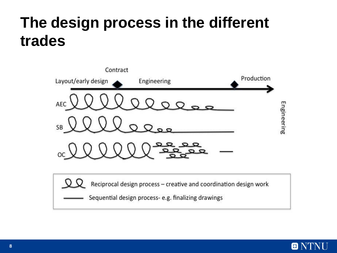## **The design process in the different trades**